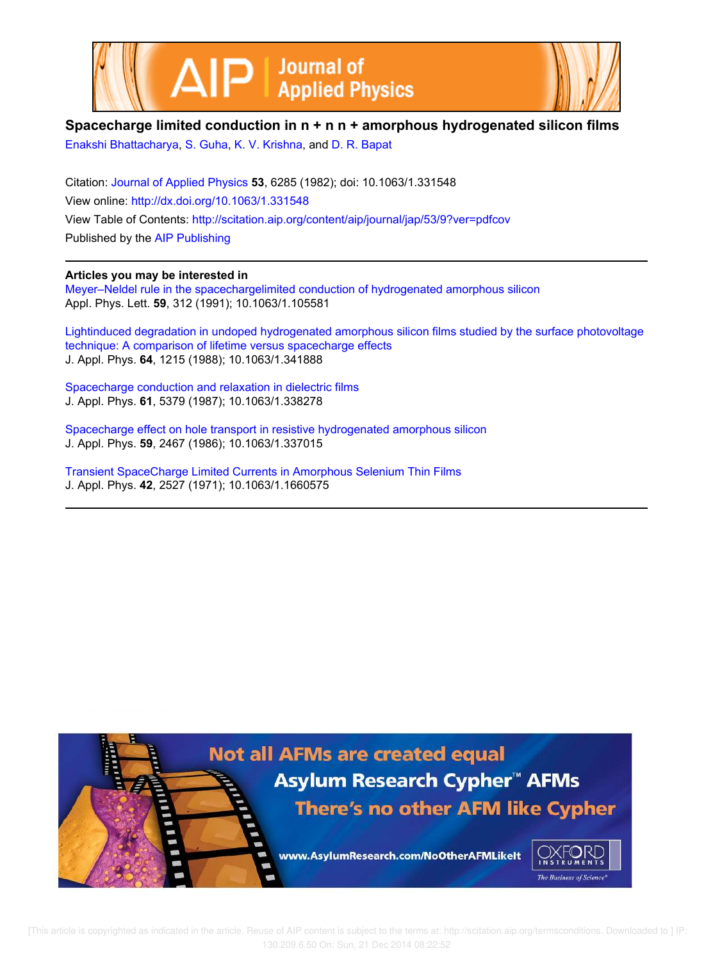



## **Spacecharge limited conduction in n + n n + amorphous hydrogenated silicon films**

Enakshi Bhattacharya, S. Guha, K. V. Krishna, and D. R. Bapat

Citation: Journal of Applied Physics **53**, 6285 (1982); doi: 10.1063/1.331548 View online: http://dx.doi.org/10.1063/1.331548 View Table of Contents: http://scitation.aip.org/content/aip/journal/jap/53/9?ver=pdfcov Published by the AIP Publishing

### **Articles you may be interested in**

Meyer–Neldel rule in the spacechargelimited conduction of hydrogenated amorphous silicon Appl. Phys. Lett. **59**, 312 (1991); 10.1063/1.105581

Lightinduced degradation in undoped hydrogenated amorphous silicon films studied by the surface photovoltage technique: A comparison of lifetime versus spacecharge effects J. Appl. Phys. **64**, 1215 (1988); 10.1063/1.341888

Spacecharge conduction and relaxation in dielectric films J. Appl. Phys. **61**, 5379 (1987); 10.1063/1.338278

Spacecharge effect on hole transport in resistive hydrogenated amorphous silicon J. Appl. Phys. **59**, 2467 (1986); 10.1063/1.337015

Transient SpaceCharge Limited Currents in Amorphous Selenium Thin Films J. Appl. Phys. **42**, 2527 (1971); 10.1063/1.1660575



[This article is copyrighted as indicated in the article. Reuse of AIP content is subject to the terms at: http://scitation.aip.org/termsconditions. Downloaded to ] IP: 130.209.6.50 On: Sun, 21 Dec 2014 08:22:52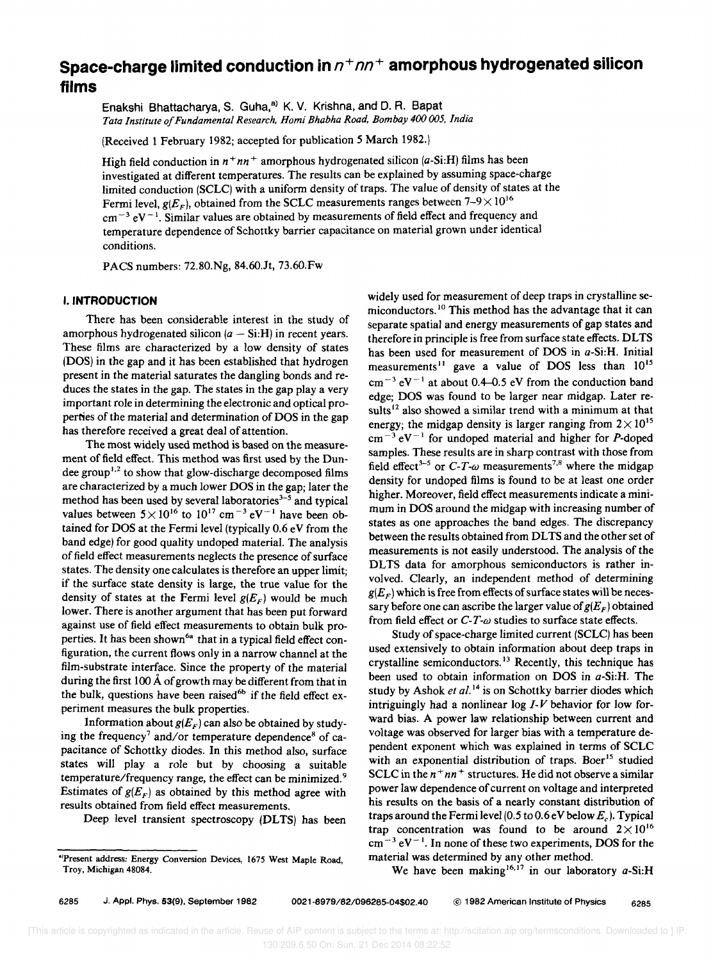# Space-charge limited conduction in  $n+m+$  amorphous hydrogenated silicon **films**

Enakshi Bhattacharya, S. Guha,<sup>a)</sup> K. V. Krishna, and D. R. Bapat *Tata Institute of Fundamental Research, Homi Bhabha Road, Bombay 400 005, India* 

(Received 1 February 1982; accepted for publication 5 March 1982.)

High field conduction in  $n+nn+$  amorphous hydrogenated silicon  $(a-Si:H)$  films has been investigated at different temperatures. The results can be explained by assuming space-charge limited conduction (SCLC) with a uniform density of traps. The value of density of states at the Fermi level,  $g(E_F)$ , obtained from the SCLC measurements ranges between  $7-9 \times 10^{16}$  $cm^{-3} eV^{-1}$ . Similar values are obtained by measurements of field effect and frequency and temperature dependence of Schottky barrier capacitance on material grown under identical conditions.

PACS numbers: 72.80.Ng, 84.60.Jt, 73.60.Fw

#### I. **INTRODUCTION**

There has been considerable interest in the study of amorphous hydrogenated silicon  $(a - Si.H)$  in recent years. These films are characterized by a low density of states (DOS) in the gap and it has been established that hydrogen present in the material saturates the dangling bonds and reduces the states in the gap. The states in the gap play a very important role in determining the electronic and optical properties of the material and determination of DOS in the gap has therefore received a great deal of attention.

The most widely used method is based on the measurement of field effect. This method was first used by the Dundee group<sup>1,2</sup> to show that glow-discharge decomposed films are characterized by a much lower DOS in the gap; later the method has been used by several laboratories<sup>3-5</sup> and typical values between  $5 \times 10^{16}$  to  $10^{17}$  cm<sup>-3</sup> eV<sup>-1</sup> have been obtained for DOS at the Fermi level (typically 0.6 eV from the band edge) for good quality undoped material. The analysis of field effect measurements neglects the presence of surface states. The density one calculates is therefore an upper limit; if the surface state density is large, the true value for the density of states at the Fermi level  $g(E_F)$  would be much lower. There is another argument that has been put forward against use of field effect measurements to obtain bulk properties. It has been shown<sup>6a</sup> that in a typical field effect configuration, the current flows only in a narrow channel at the film-substrate interface. Since the property of the material during the first 100  $\AA$  of growth may be different from that in the bulk, questions have been raised<sup>6b</sup> if the field effect experiment measures the bulk properties.

Information about  $g(E_{\scriptscriptstyle F})$  can also be obtained by studying the frequency<sup>7</sup> and/or temperature dependence<sup>8</sup> of capacitance of Schottky diodes. In this method also, surface states will play a role but by choosing a suitable temperature/frequency range, the effect can be minimized. <sup>9</sup> Estimates of  $g(E_F)$  as obtained by this method agree with results obtained from field effect measurements.

Deep level transient spectroscopy (DLTS) has been

widely used for measurement of deep traps in crystalline semiconductors.<sup>10</sup> This method has the advantage that it can separate spatial and energy measurements of gap states and therefore in principle is free from surface state effects. DLTS has been used for measurement of DOS in *a-Si:H.* Initial measurements<sup>11</sup> gave a value of DOS less than 10<sup>15</sup>  $cm^{-3}$  eV<sup>-1</sup> at about 0.4-0.5 eV from the conduction band edge; DOS was found to be larger near midgap. Later results<sup>12</sup> also showed a similar trend with a minimum at that energy; the midgap density is larger ranging from  $2 \times 10^{15}$  $cm^{-3} eV^{-1}$  for undoped material and higher for P-doped samples. These results are in sharp contrast with those from field effect<sup>3-5</sup> or  $C$ -T- $\omega$  measurements<sup>7,8</sup> where the midgap density for undoped films is found to be at least one order higher. Moreover, field effect measurements indicate a minimum in DOS around the midgap with increasing number of states as one approaches the band edges. The discrepancy between the results obtained from DLTS and the other set of measurements is not easily understood. The analysis of the DLTS data for amorphous semiconductors is rather involved. Clearly, an independent method of determining  $g(E<sub>F</sub>)$  which is free from effects of surface states will be necessary before one can ascribe the larger value of  $g(E_F)$  obtained from field effect or C-*T-w* studies to surface state effects.

Study of space-charge limited current (SCLC) has been used extensively to obtain information about deep traps in crystalline semiconductors.<sup>13</sup> Recently, this technique has been used to obtain information on DOS in *a-Si:H.* The study by Ashok et al.<sup>14</sup> is on Schottky barrier diodes which intriguingly had a nonlinear log *1-V* behavior for low forward bias. A power law relationship between current and voltage was observed for larger bias with a temperature dependent exponent which was explained in terms of SCLC with an exponential distribution of traps. Boer<sup>15</sup> studied SCLC in the  $n + nn +$  structures. He did not observe a similar power law dependence of current on voltage and interpreted his results on the basis of a nearly constant distribution of traps around the Fermi level (0.5 to 0.6 eV below  $E_c$ ). Typical trap concentration was found to be around  $2 \times 10^{16}$  $cm^{-3} eV^{-1}$ . In none of these two experiments, DOS for the material was determined by any other method.

We have been making<sup>16,17</sup> in our laboratory *a*-Si:H

<sup>·&#</sup>x27;Present address: Energy Conversion Devices, 1675 West Maple Road Troy, Michigan 48084. '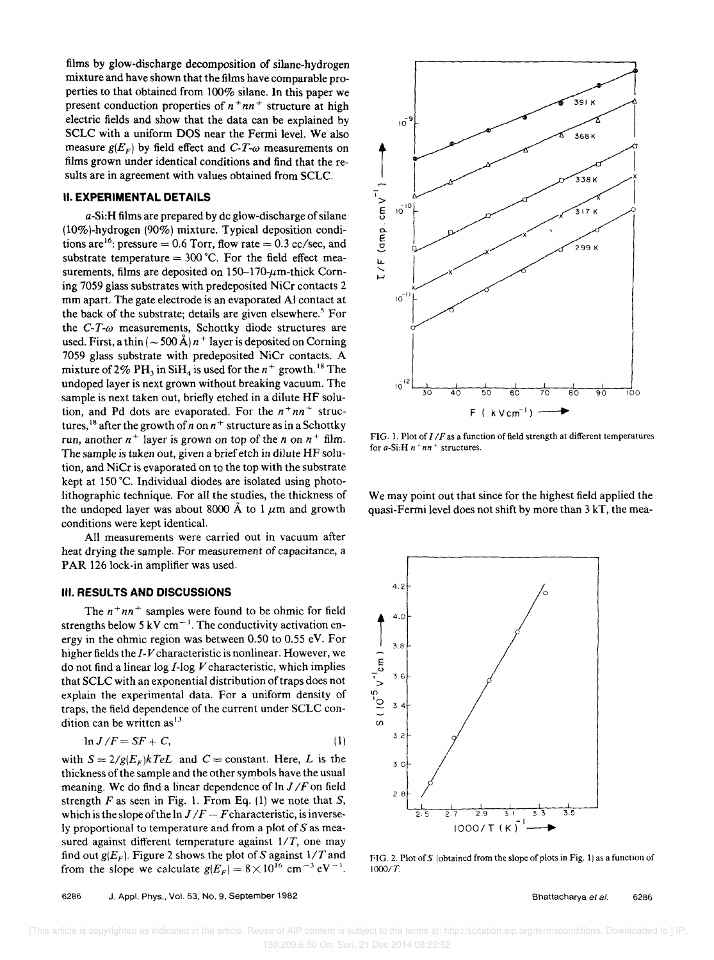films by glow-discharge decomposition of silane-hydrogen mixture and have shown that the films have comparable properties to that obtained from 100% silane. **In** this paper we present conduction properties of  $n^+nn^+$  structure at high electric fields and show that the data can be explained by SCLC with a uniform DOS near the Fermi level. We also measure  $g(E_F)$  by field effect and C-T- $\omega$  measurements on films grown under identical conditions and find that the results are in agreement with values obtained from SCLC.

#### **II. EXPERIMENTAL DETAILS**

a-Si:H films are prepared by dc glow-discharge of silane (10% )-hydrogen (90%) mixture. Typical deposition conditions are<sup>16</sup>: pressure = 0.6 Torr, flow rate = 0.3 cc/sec, and substrate temperature  $= 300$  °C. For the field effect measurements, films are deposited on  $150-170$ - $\mu$ m-thick Corning 7059 glass substrates with predeposited NiCr contacts 2 mm apart. The gate electrode is an evaporated Al contact at the back of the substrate; details are given elsewhere.<sup>5</sup> For the  $C-T-\omega$  measurements, Schottky diode structures are used. First, a thin  $(-500 \text{ Å}) n^+$  layer is deposited on Corning 7059 glass substrate with predeposited NiCr contacts. A mixture of 2% PH<sub>3</sub> in SiH<sub>4</sub> is used for the  $n^+$  growth.<sup>18</sup> The undoped layer is next grown without breaking vacuum. The sample is next taken out, briefly etched in a dilute HF solution, and Pd dots are evaporated. For the  $n^+nn^+$  structures, <sup>18</sup> after the growth of *n* on  $n^+$  structure as in a Schottky run, another  $n^+$  layer is grown on top of the *n* on  $n^+$  film. The sample is taken out, given a brief etch in dilute HF solution, and NiCr is evaporated on to the top with the substrate kept at 150 °C. Individual diodes are isolated using photolithographic technique. For all the studies, the thickness of the undoped layer was about 8000 Å to 1  $\mu$ m and growth conditions were kept identical.

All measurements were carried out in vacuum after heat drying the sample. For measurement of capacitance, a PAR 126 lock-in amplifier was used.

#### **III. RESULTS AND DISCUSSIONS**

The  $n^+nn^+$  samples were found to be ohmic for field strengths below 5 kV cm<sup> $-1$ </sup>. The conductivity activation energy in the ohmic region was between 0.50 to 0.55 eY. For higher fields the *1-V* characteristic is nonlinear. However, we do not find a linear log I-log *V* characteristic, which implies that SCLC with an exponential distribution of traps does not explain the experimental data. For a uniform density of traps, the field dependence of the current under SCLC condition can be written as<sup>13</sup>

$$
\ln J/F = SF + C,\tag{1}
$$

with  $S = 2/g(E_F)kTeL$  and  $C = constant$ . Here, L is the thickness of the sample and the other symbols have the usual meaning. We do find a linear dependence of  $\ln J/F$  on field strength  $F$  as seen in Fig. 1. From Eq. (1) we note that  $S$ , which is the slope of the  $\ln J/F - F$ characteristic, is inversely proportional to temperature and from a plot of  $S$  as measured against different temperature against  $1/T$ , one may find out  $g(E_F)$ . Figure 2 shows the plot of S against  $1/T$  and from the slope we calculate  $g(E_F) = 8 \times 10^{16}$  cm<sup>-3</sup> eV<sup>-1</sup>.



FIG. 1. Plot of  $I/F$  as a function of field strength at different temperatures for *a-Si:H n* + *nn* + structures.

We may point out that since for the highest field applied the quasi-Fermi level does not shift by more than 3 kT, the mea-



FIG. 2. Plot of S (obtained from the slope of plots in Fig. 1) as a function of 1 *0001 T.* 

6286 J. Appl. Phys., Vol. 53, NO.9. September 1982

Bhattacharya et al. 6286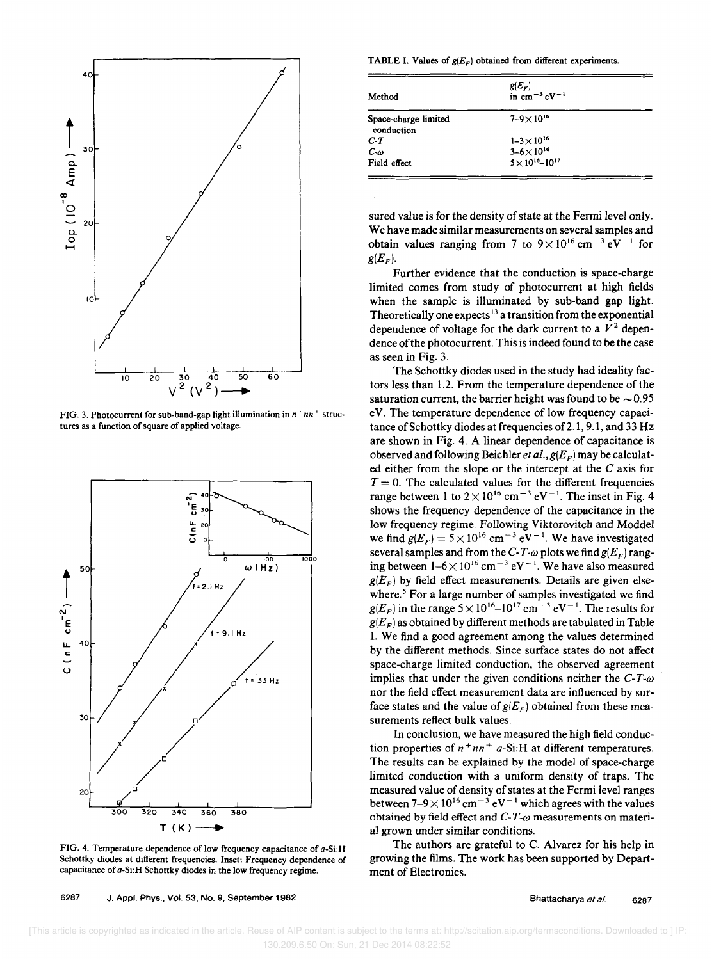

FIG. 3. Photocurrent for sub-band-gap light illumination in  $n + nn +$  structures as a function of square of applied voltage.



FIG. 4. Temperature dependence of low frequency capacitance of a-Si:H Schottky diodes at different frequencies. Inset: Frequency dependence of capacitance of a-Si:H Schottky diodes in the low frequency regime.

TABLE I. Values of  $g(E_F)$  obtained from different experiments.

| Method                             | $g(E_F)$<br>in cm <sup>-3</sup> eV <sup>-1</sup> |  |
|------------------------------------|--------------------------------------------------|--|
| Space-charge limited<br>conduction | $7 - 9 \times 10^{16}$                           |  |
| $C-T$                              | $1 - 3 \times 10^{16}$                           |  |
| $C-\omega$                         | $3 - 6 \times 10^{16}$                           |  |
| Field effect                       | $5\times10^{16} - 10^{17}$                       |  |

sured value is for the density of state at the Fermi level only. We have made similar measurements on several samples and obtain values ranging from 7 to  $9 \times 10^{16}$  cm<sup>-3</sup> eV<sup>-1</sup> for  $g(E_F)$ .

Further evidence that the conduction is space-charge limited comes from study of photocurrent at high fields when the sample is illuminated by sub-band gap light. Theoretically one expects<sup>13</sup> a transition from the exponential dependence of voltage for the dark current to a  $V^2$  dependence of the photocurrent. This is indeed found to be the case as seen in Fig. 3.

The Schottky diodes used in the study had ideality factors less than 1.2. From the temperature dependence of the saturation current, the barrier height was found to be  $\sim 0.95$ eY. The temperature dependence of low frequency capacitance of Schottky diodes at frequencies of 2.1, 9.1, and 33 Hz are shown in Fig. 4. A linear dependence of capacitance is observed and following Beichler et al.,  $g(E_F)$  may be calculated either from the slope or the intercept at the C axis for  $T = 0$ . The calculated values for the different frequencies range between 1 to  $2 \times 10^{16}$  cm<sup>-3</sup> eV<sup>-1</sup>. The inset in Fig. 4 shows the frequency dependence of the capacitance in the low frequency regime. Following Yiktorovitch and Moddel we find  $g(E_F) = 5 \times 10^{16}$  cm<sup>-3</sup> eV<sup>-1</sup>. We have investigated several samples and from the  $C-T-\omega$  plots we find  $g(E_F)$  ranging between  $1-6\times 10^{16}$  cm<sup>-3</sup> eV<sup>-1</sup>. We have also measured  $g(E<sub>F</sub>)$  by field effect measurements. Details are given elsewhere.<sup>5</sup> For a large number of samples investigated we find  $g(E_F)$  in the range  $5 \times 10^{16} - 10^{17}$  cm<sup>-3</sup> eV<sup>-1</sup>. The results for  $g(E_F)$  as obtained by different methods are tabulated in Table I. We find a good agreement among the values determined by the different methods. Since surface states do not affect space-charge limited conduction, the observed agreement implies that under the given conditions neither the  $C-T-\omega$ nor the field effect measurement data are influenced by surface states and the value of  $g(E_F)$  obtained from these measurements reflect bulk values.

In conclusion, we have measured the high field conduction properties of  $n^+nn^+$  a-Si:H at different temperatures. The results can be explained by the model of space-charge limited conduction with a uniform density of traps. The measured value of density of states at the Fermi level ranges between  $7-9 \times 10^{16}$  cm<sup>-3</sup> eV<sup>-1</sup> which agrees with the values obtained by field effect and *C-T-w* measurements on material grown under similar conditions.

The authors are grateful to C. Alvarez for his help in growing the films. The work has been supported by Department of Electronics.